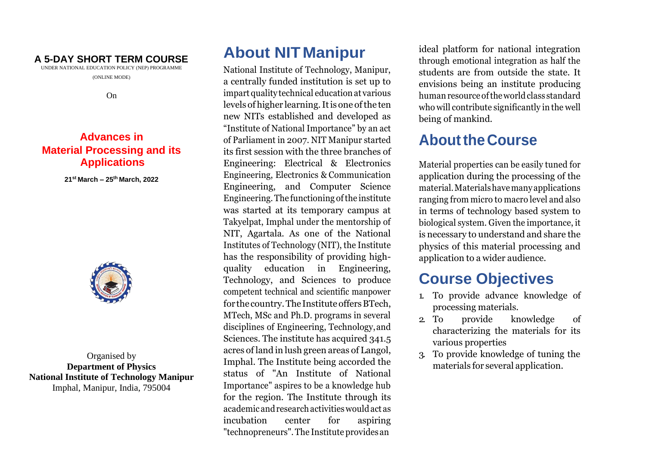#### **A 5-DAY SHORT TERM COURSE**

UNDER NATIONAL EDUCATION POLICY (NEP) PROGRAMME (ONLINE MODE)

On

### **Advances in Material Processing and its Applications**

**21 st March – 25th March, 2022**



Organised by **Department of Physics National Institute of Technology Manipur** Imphal, Manipur, India, 795004

# **About NITManipur**

National Institute of Technology, Manipur, a centrally funded institution is set up to impart quality technical education at various levels of higher learning. It is one of the ten new NITs established and developed as "Institute of National Importance" by an act of Parliament in 2007. NIT Manipur started its first session with the three branches of Engineering: Electrical & Electronics Engineering, Electronics & Communication Engineering, and Computer Science Engineering. The functioning of the institute was started at its temporary campus at Takyelpat, Imphal under the mentorship of NIT, Agartala. As one of the National Institutes of Technology (NIT), the Institute has the responsibility of providing highquality education in Engineering, Technology, and Sciences to produce competent technical and scientific manpower for the country. The Institute offers BTech, MTech, MSc and Ph.D. programs in several disciplines of Engineering, Technology,and Sciences. The institute has acquired 341.5 acres of land in lush green areas of Langol, Imphal. The Institute being accorded the status of "An Institute of National Importance" aspires to be a knowledge hub for the region. The Institute through its academic andresearchactivitieswouldact as incubation center for aspiring "technopreneurs". The Institute providesan

ideal platform for national integration through emotional integration as half the students are from outside the state. It envisions being an institute producing human resource of the world class standard who will contribute significantly in the well being of mankind.

## **AbouttheCourse**

Material properties can be easily tuned for application during the processing of the material.Materialshavemanyapplications ranging from micro to macro level and also in terms of technology based system to biological system. Given the importance, it is necessary to understand and share the physics of this material processing and application to a wider audience.

## **Course Objectives**

- 1. To provide advance knowledge of processing materials.
- 2. To provide knowledge of characterizing the materials for its various properties
- 3. To provide knowledge of tuning the materials for several application.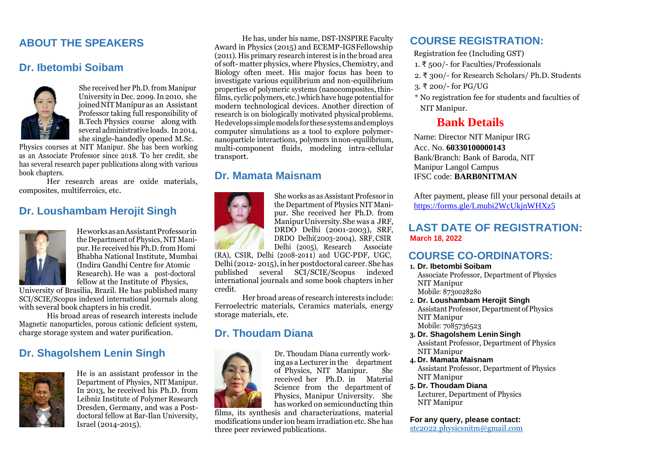### **ABOUT THE SPEAKERS**

#### **Dr. Ibetombi Soibam**



She received her Ph.D. from Manipur University in Dec. 2009.In 2010, she joinedNITManipuras an Assistant Professor taking full responsibility of B.Tech Physics course along with several administrative loads. In 2014, she single-handedly opened M.Sc.

Physics courses at NIT Manipur. She has been working as an Associate Professor since 2018. To her credit, she has several research paper publications along with various book chapters.

Her research areas are oxide materials, composites, multiferroics, etc.

#### **Dr. Loushambam Herojit Singh**



HeworksasanAssistantProfessorin the Department of Physics, NIT Manipur. He received his Ph.D. from Homi Bhabha National Institute, Mumbai (Indira Gandhi Centre for Atomic Research). He was a post-doctoral fellow at the Institute of Physics,

University of Brasilia, Brazil. He has published many SCI/SCIE/Scopus indexed international journals along with several book chapters in his credit.

His broad areas of research interests include Magnetic nanoparticles, porous cationic deficient system, charge storage system and water purification.

#### **Dr. Shagolshem Lenin Singh**



He is an assistant professor in the Department of Physics, NIT Manipur. In 2013, he received his Ph.D. from Leibniz Institute of Polymer Research Dresden, Germany, and was a Postdoctoral fellow at Bar-Ilan University, Israel (2014-2015).

He has, under his name, DST-INSPIRE Faculty Award in Physics (2015) and ECEMP-IGSFellowship (2011). His primary research interest is in the broad area of soft- matter physics, where Physics, Chemistry, and Biology often meet. His major focus has been to investigate various equilibrium and non-equilibrium properties of polymeric systems (nanocomposites, thinfilms, cyclic polymers, etc.) which have huge potential for modern technological devices. Another direction of research is on biologically motivated physicalproblems. Hedevelopssimplemodelsforthesesystemsandemploys computer simulations as a tool to explore polymernanoparticle interactions, polymers innon-equilibrium, multi-component fluids, modeling intra-cellular transport.

#### **Dr. Mamata Maisnam**



She works as as Assistant Professor in the Department of Physics NIT Manipur. She received her Ph.D. from ManipurUniversity.She was a JRF, DRDO Delhi (2001-2003), SRF, DRDO Delhi(2003-2004), SRF, CSIR Delhi (2005), Research Associate

(RA), CSIR, Delhi (2008-2011) and UGC-PDF, UGC, Delhi(2012- 2015), inher postdoctoral career. She has published several SCI/SCIE/Scopus indexed international journals and some book chapters inher credit.

Her broad areas of research interests include: Ferroelectric materials, Ceramics materials, energy storage materials, etc.

#### **Dr. Thoudam Diana**



Dr. Thoudam Diana currently working as aLecturer in the department of Physics, NIT Manipur. She received her Ph.D. in Material Science from the department of Physics, Manipur University. She has worked on semiconducting thin

films, its synthesis and characterizations, material modifications under ion beam irradiation etc. She has three peer reviewed publications.

#### **COURSE REGISTRATION:**

- Registration fee (Including GST)
- 1. ₹ 500/- for Faculties/Professionals
- 2. ₹ 300/- for Research Scholars/ Ph.D. Students
- 3. ₹ 200/- for PG/UG
- \* No registration fee for students and faculties of NIT Manipur.

### **Bank Details**

Name: Director NIT Manipur IRG Acc. No. **60330100000143** Bank/Branch: Bank of Baroda, NIT Manipur Langol Campus IFSC code: **BARB0NITMAN**

After payment, please fill your personal details at <https://forms.gle/Lmubi2WcUkjnWHXz5>

#### **LAST DATE OF REGISTRATION: March 18, 2022**

#### **COURSE CO-ORDINATORS:**

**1. Dr. Ibetombi Soibam**

Associate Professor, Department of Physics NIT Manipur Mobile: 8730028280

- 2. **Dr. Loushambam Herojit Singh**  Assistant Professor, Department of Physics NIT Manipur Mobile: 7085736523
- **3. Dr. Shagolshem LeninSingh** Assistant Professor, Department of Physics NIT Manipur
- **4. Dr. Mamata Maisnam** Assistant Professor, Department of Physics NIT Manipur
- **5. Dr. Thoudam Diana** Lecturer, Department of Physics NIT Manipur

**For any query, please contact:** [stc2022.physicsnitm@gmail.com](mailto:stc2022.physicsnitm@gmail.com)